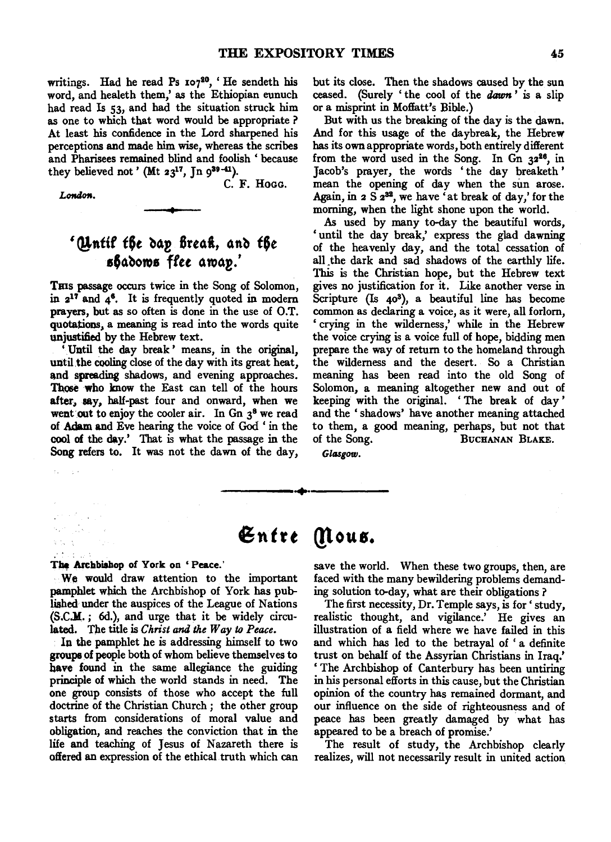C. F. HOGG.

writings. Had he read Ps  $107^{20}$ , 'He sendeth his word, and healeth them,' as the Ethiopian eunuch had read Is 53, and had the situation struck him as one to which that word would be appropriate ? At least his confidence in the Lord sharpened his perceptions and made him wise, whereas the scribes and Pharisees remained blind and foolish ' because they believed not' (Mt  $23^{17}$ , Jn  $9^{39-41}$ ).

London.

 $\tilde{f}_{\rm{in}}$ in gla

 $\label{eq:2} \mathcal{L}^{\text{max}}_{\text{max}} \left( \mathcal{L}^{\text{max}}_{\text{max}} \right)$  $\mathcal{O}(\log n)$ 

t,

## '(Untif the dap *fireath*, and *the*  $\epsilon$ 64dows flee away.'

Tms passage occurs twice in the Song of Solomon, in  $2^{17}$  and  $4^6$ . It is frequently quoted in modern prayers, but as so often is done in the use of O.T. quotations, a meaning is read into the words quite unjustified by the Hebrew text.

'Until the day break' means, in the original, until the cooling close of the day with its great heat, and spreading shadows, and evening approaches. Those who know the East can tell of the hours after, say, half-past four and onward, when we went out to enjoy the cooler air. In Gn  $3^8$  we read of Adam and Eve hearing the voice of God ' in the cool of the day.' That is what the passage in the Song refers to. It was not the dawn of the day,

but its close. Then the shadows caused by the sun ceased. (Surely ' the cool of the *dawn* ' is a slip or a misprint in Moffatt's Bible.)

But with us the breaking of the day is the dawn. And for this usage of the daybreak, the Hebrew has its own appropriate words, both entirely different from the word used in the Song. In Gn  $32^{26}$ , in Jacob's prayer, the words 'the day breaketh' mean the opening of day when the sun arose. Again, in  $2 S 2^{32}$ , we have 'at break of day,' for the morning, when the light shone upon the world.

As used by many to-day the beautiful words, 'until the day break,' express the glad dawning of the heavenly day, and the total cessation of all.the dark and sad shadows of the earthly life. This is the Christian hope, but the Hebrew text gives no justification for it. Like another verse in Scripture (Is 403), a beautiful line has become common as declaring a voice, as it were, all forlorn, 'crying in the wilderness,' while in the Hebrew the voice crying is a voice full of hope, bidding men prepare the way of return to the homeland through the wilderness and the desert. So a Christian meaning has been read into the old Song of Solomon, a meaning altogether new and out of keeping with the original. ' The break of day ' and the 'shadows' have another meaning attached to them, a good meaning, perhaps, but not that of the Song. BUCHANAN BLAKE.

*GlASgow.* 

## **Entre Mous.**

-----•··-----

## The Archbishop of York on 'Peace.'

We would draw attention to the important pamphlet which the Archbishop of York has published under the auspices of the League of Nations (S.C.M.; 6d.), and urge that it be widely circulated. The title is *Christ and the Way* to *Peace.* 

In the pamphlet he is addressing himself to two groups of people both of whom believe themselves to have found in the same allegiance the guiding principle of which the world stands in need. The one group consists of those who accept the full doctrine of the Christian Church ; the other group starts from considerations of moral value and obligation, and reaches the conviction that in the life and teaching of Jesus of Nazareth there is offered an expression of the ethical truth which can save the world. When these two groups, then, are faced with the many bewildering problems demanding solution to-day, what are their obligations ?

The first necessity, Dr. Temple says, is for' study, realistic thought, and vigilance.' He gives an illustration of a field where we have failed in this and which has led to the betrayal of 'a definite trust on behalf of the Assyrian Christians in Iraq.' ' The Archbishop of Canterbury has been untiring in his personal efforts in this cause, but the Christian opinion of the country has remained dormant, and our influence on the side of righteousness and of peace has been greatly damaged by what has appeared to be a breach of promise.'

The result of study, the Archbishop clearly realizes, will not necessarily result in united action